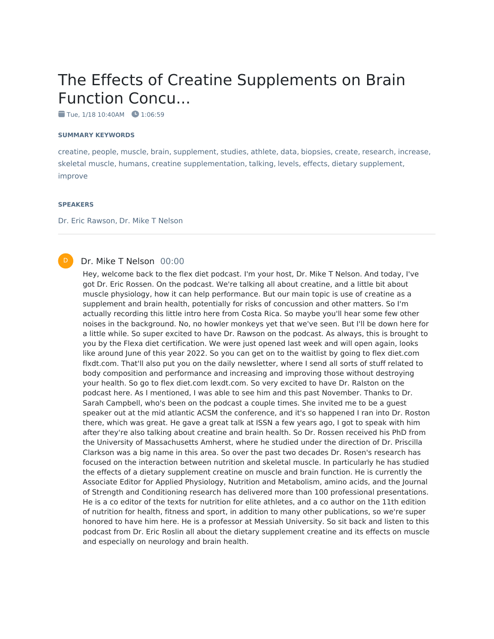# The Effects of Creatine Supplements on Brain Function Concu...

 $\blacksquare$  Tue, 1/18 10:40AM  $\blacksquare$  1:06:59

#### **SUMMARY KEYWORDS**

creatine, people, muscle, brain, supplement, studies, athlete, data, biopsies, create, research, increase, skeletal muscle, humans, creatine supplementation, talking, levels, effects, dietary supplement, improve

#### **SPEAKERS**

D

Dr. Eric Rawson, Dr. Mike T Nelson

#### Dr. Mike T Nelson 00:00

Hey, welcome back to the flex diet podcast. I'm your host, Dr. Mike T Nelson. And today, I've got Dr. Eric Rossen. On the podcast. We're talking all about creatine, and a little bit about muscle physiology, how it can help performance. But our main topic is use of creatine as a supplement and brain health, potentially for risks of concussion and other matters. So I'm actually recording this little intro here from Costa Rica. So maybe you'll hear some few other noises in the background. No, no howler monkeys yet that we've seen. But I'll be down here for a little while. So super excited to have Dr. Rawson on the podcast. As always, this is brought to you by the Flexa diet certification. We were just opened last week and will open again, looks like around June of this year 2022. So you can get on to the waitlist by going to flex diet.com flxdt.com. That'll also put you on the daily newsletter, where I send all sorts of stuff related to body composition and performance and increasing and improving those without destroying your health. So go to flex diet.com lexdt.com. So very excited to have Dr. Ralston on the podcast here. As I mentioned, I was able to see him and this past November. Thanks to Dr. Sarah Campbell, who's been on the podcast a couple times. She invited me to be a guest speaker out at the mid atlantic ACSM the conference, and it's so happened I ran into Dr. Roston there, which was great. He gave a great talk at ISSN a few years ago, I got to speak with him after they're also talking about creatine and brain health. So Dr. Rossen received his PhD from the University of Massachusetts Amherst, where he studied under the direction of Dr. Priscilla Clarkson was a big name in this area. So over the past two decades Dr. Rosen's research has focused on the interaction between nutrition and skeletal muscle. In particularly he has studied the effects of a dietary supplement creatine on muscle and brain function. He is currently the Associate Editor for Applied Physiology, Nutrition and Metabolism, amino acids, and the Journal of Strength and Conditioning research has delivered more than 100 professional presentations. He is a co editor of the texts for nutrition for elite athletes, and a co author on the 11th edition of nutrition for health, fitness and sport, in addition to many other publications, so we're super honored to have him here. He is a professor at Messiah University. So sit back and listen to this podcast from Dr. Eric Roslin all about the dietary supplement creatine and its effects on muscle and especially on neurology and brain health.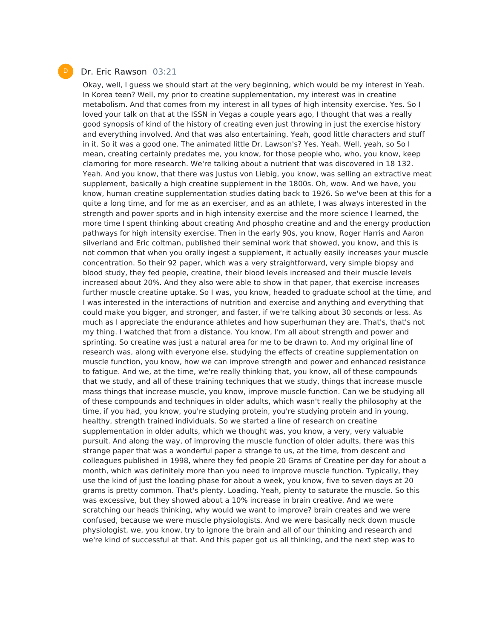#### Dr. Eric Rawson 03:21

Okay, well, I guess we should start at the very beginning, which would be my interest in Yeah. In Korea teen? Well, my prior to creatine supplementation, my interest was in creatine metabolism. And that comes from my interest in all types of high intensity exercise. Yes. So I loved your talk on that at the ISSN in Vegas a couple years ago, I thought that was a really good synopsis of kind of the history of creating even just throwing in just the exercise history and everything involved. And that was also entertaining. Yeah, good little characters and stuff in it. So it was a good one. The animated little Dr. Lawson's? Yes. Yeah. Well, yeah, so So I mean, creating certainly predates me, you know, for those people who, who, you know, keep clamoring for more research. We're talking about a nutrient that was discovered in 18 132. Yeah. And you know, that there was Justus von Liebig, you know, was selling an extractive meat supplement, basically a high creatine supplement in the 1800s. Oh, wow. And we have, you know, human creatine supplementation studies dating back to 1926. So we've been at this for a quite a long time, and for me as an exerciser, and as an athlete, I was always interested in the strength and power sports and in high intensity exercise and the more science I learned, the more time I spent thinking about creating And phospho creatine and and the energy production pathways for high intensity exercise. Then in the early 90s, you know, Roger Harris and Aaron silverland and Eric coltman, published their seminal work that showed, you know, and this is not common that when you orally ingest a supplement, it actually easily increases your muscle concentration. So their 92 paper, which was a very straightforward, very simple biopsy and blood study, they fed people, creatine, their blood levels increased and their muscle levels increased about 20%. And they also were able to show in that paper, that exercise increases further muscle creatine uptake. So I was, you know, headed to graduate school at the time, and I was interested in the interactions of nutrition and exercise and anything and everything that could make you bigger, and stronger, and faster, if we're talking about 30 seconds or less. As much as I appreciate the endurance athletes and how superhuman they are. That's, that's not my thing. I watched that from a distance. You know, I'm all about strength and power and sprinting. So creatine was just a natural area for me to be drawn to. And my original line of research was, along with everyone else, studying the effects of creatine supplementation on muscle function, you know, how we can improve strength and power and enhanced resistance to fatigue. And we, at the time, we're really thinking that, you know, all of these compounds that we study, and all of these training techniques that we study, things that increase muscle mass things that increase muscle, you know, improve muscle function. Can we be studying all of these compounds and techniques in older adults, which wasn't really the philosophy at the time, if you had, you know, you're studying protein, you're studying protein and in young, healthy, strength trained individuals. So we started a line of research on creatine supplementation in older adults, which we thought was, you know, a very, very valuable pursuit. And along the way, of improving the muscle function of older adults, there was this strange paper that was a wonderful paper a strange to us, at the time, from descent and colleagues published in 1998, where they fed people 20 Grams of Creatine per day for about a month, which was definitely more than you need to improve muscle function. Typically, they use the kind of just the loading phase for about a week, you know, five to seven days at 20 grams is pretty common. That's plenty. Loading. Yeah, plenty to saturate the muscle. So this was excessive, but they showed about a 10% increase in brain creative. And we were scratching our heads thinking, why would we want to improve? brain creates and we were confused, because we were muscle physiologists. And we were basically neck down muscle physiologist, we, you know, try to ignore the brain and all of our thinking and research and we're kind of successful at that. And this paper got us all thinking, and the next step was to

D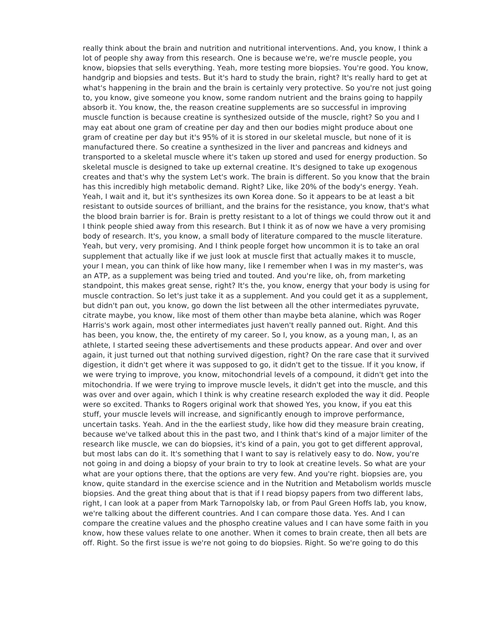really think about the brain and nutrition and nutritional interventions. And, you know, I think a lot of people shy away from this research. One is because we're, we're muscle people, you know, biopsies that sells everything. Yeah, more testing more biopsies. You're good. You know, handgrip and biopsies and tests. But it's hard to study the brain, right? It's really hard to get at what's happening in the brain and the brain is certainly very protective. So you're not just going to, you know, give someone you know, some random nutrient and the brains going to happily absorb it. You know, the, the reason creatine supplements are so successful in improving muscle function is because creatine is synthesized outside of the muscle, right? So you and I may eat about one gram of creatine per day and then our bodies might produce about one gram of creatine per day but it's 95% of it is stored in our skeletal muscle, but none of it is manufactured there. So creatine a synthesized in the liver and pancreas and kidneys and transported to a skeletal muscle where it's taken up stored and used for energy production. So skeletal muscle is designed to take up external creatine. It's designed to take up exogenous creates and that's why the system Let's work. The brain is different. So you know that the brain has this incredibly high metabolic demand. Right? Like, like 20% of the body's energy. Yeah. Yeah, I wait and it, but it's synthesizes its own Korea done. So it appears to be at least a bit resistant to outside sources of brilliant, and the brains for the resistance, you know, that's what the blood brain barrier is for. Brain is pretty resistant to a lot of things we could throw out it and I think people shied away from this research. But I think it as of now we have a very promising body of research. It's, you know, a small body of literature compared to the muscle literature. Yeah, but very, very promising. And I think people forget how uncommon it is to take an oral supplement that actually like if we just look at muscle first that actually makes it to muscle, your I mean, you can think of like how many, like I remember when I was in my master's, was an ATP, as a supplement was being tried and touted. And you're like, oh, from marketing standpoint, this makes great sense, right? It's the, you know, energy that your body is using for muscle contraction. So let's just take it as a supplement. And you could get it as a supplement, but didn't pan out, you know, go down the list between all the other intermediates pyruvate, citrate maybe, you know, like most of them other than maybe beta alanine, which was Roger Harris's work again, most other intermediates just haven't really panned out. Right. And this has been, you know, the, the entirety of my career. So I, you know, as a young man, I, as an athlete, I started seeing these advertisements and these products appear. And over and over again, it just turned out that nothing survived digestion, right? On the rare case that it survived digestion, it didn't get where it was supposed to go, it didn't get to the tissue. If it you know, if we were trying to improve, you know, mitochondrial levels of a compound, it didn't get into the mitochondria. If we were trying to improve muscle levels, it didn't get into the muscle, and this was over and over again, which I think is why creatine research exploded the way it did. People were so excited. Thanks to Rogers original work that showed Yes, you know, if you eat this stuff, your muscle levels will increase, and significantly enough to improve performance, uncertain tasks. Yeah. And in the the earliest study, like how did they measure brain creating, because we've talked about this in the past two, and I think that's kind of a major limiter of the research like muscle, we can do biopsies, it's kind of a pain, you got to get different approval, but most labs can do it. It's something that I want to say is relatively easy to do. Now, you're not going in and doing a biopsy of your brain to try to look at creatine levels. So what are your what are your options there, that the options are very few. And you're right. biopsies are, you know, quite standard in the exercise science and in the Nutrition and Metabolism worlds muscle biopsies. And the great thing about that is that if I read biopsy papers from two different labs, right, I can look at a paper from Mark Tarnopolsky lab, or from Paul Green Hoffs lab, you know, we're talking about the different countries. And I can compare those data. Yes. And I can compare the creatine values and the phospho creatine values and I can have some faith in you know, how these values relate to one another. When it comes to brain create, then all bets are off. Right. So the first issue is we're not going to do biopsies. Right. So we're going to do this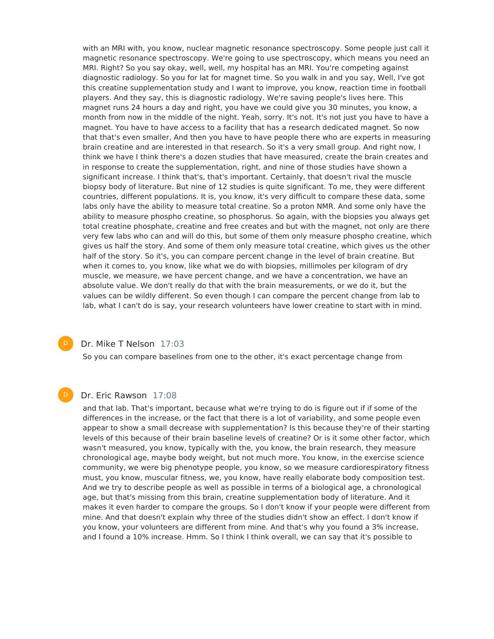with an MRI with, you know, nuclear magnetic resonance spectroscopy. Some people just call it magnetic resonance spectroscopy. We're going to use spectroscopy, which means you need an MRI. Right? So you say okay, well, well, my hospital has an MRI. You're competing against diagnostic radiology. So you for lat for magnet time. So you walk in and you say, Well, I've got this creatine supplementation study and I want to improve, you know, reaction time in football players. And they say, this is diagnostic radiology. We're saving people's lives here. This magnet runs 24 hours a day and right, you have we could give you 30 minutes, you know, a month from now in the middle of the night. Yeah, sorry. It's not. It's not just you have to have a magnet. You have to have access to a facility that has a research dedicated magnet. So now that that's even smaller, And then you have to have people there who are experts in measuring brain creatine and are interested in that research. So it's a very small group. And right now, I think we have I think there's a dozen studies that have measured, create the brain creates and in response to create the supplementation, right, and nine of those studies have shown a significant increase. I think that's, that's important. Certainly, that doesn't rival the muscle biopsy body of literature. But nine of 12 studies is quite significant. To me, they were different countries, different populations. It is, you know, it's very difficult to compare these data, some labs only have the ability to measure total creatine. So a proton NMR. And some only have the ability to measure phospho creatine, so phosphorus. So again, with the biopsies you always get total creatine phosphate, creatine and free creates and but with the magnet, not only are there very few labs who can and will do this, but some of them only measure phospho creatine, which gives us half the story. And some of them only measure total creatine, which gives us the other half of the story. So it's, you can compare percent change in the level of brain creatine. But when it comes to, you know, like what we do with biopsies, millimoles per kilogram of dry muscle, we measure, we have percent change, and we have a concentration, we have an absolute value. We don't really do that with the brain measurements, or we do it, but the values can be wildly different. So even though I can compare the percent change from lab to lab, what I can't do is say, your research volunteers have lower creatine to start with in mind.

#### Dr. Mike T Nelson 17:03

So you can compare baselines from one to the other, it's exact percentage change from

#### Dr. Eric Rawson 17:08

 $\mathsf{D}$ 

D

and that lab. That's important, because what we're trying to do is figure out if if some of the differences in the increase, or the fact that there is a lot of variability, and some people even appear to show a small decrease with supplementation? Is this because they're of their starting levels of this because of their brain baseline levels of creatine? Or is it some other factor, which wasn't measured, you know, typically with the, you know, the brain research, they measure chronological age, maybe body weight, but not much more. You know, in the exercise science community, we were big phenotype people, you know, so we measure cardiorespiratory fitness must, you know, muscular fitness, we, you know, have really elaborate body composition test. And we try to describe people as well as possible in terms of a biological age, a chronological age, but that's missing from this brain, creatine supplementation body of literature. And it makes it even harder to compare the groups. So I don't know if your people were different from mine. And that doesn't explain why three of the studies didn't show an effect. I don't know if you know, your volunteers are different from mine. And that's why you found a 3% increase, and I found a 10% increase. Hmm. So I think I think overall, we can say that it's possible to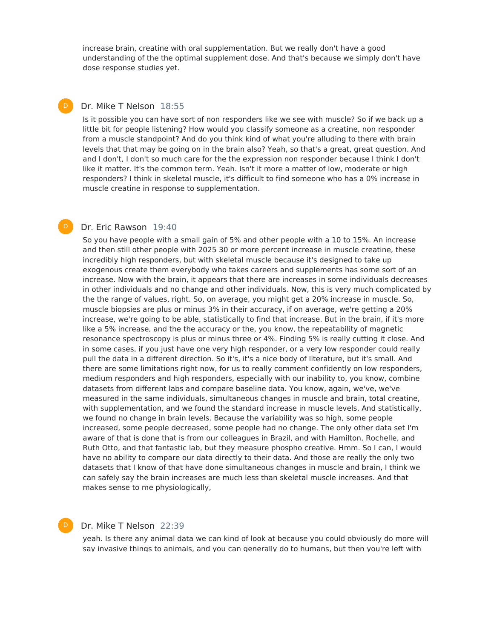increase brain, creatine with oral supplementation. But we really don't have a good understanding of the the optimal supplement dose. And that's because we simply don't have dose response studies yet.

### Dr. Mike T Nelson 18:55

 $\mathsf{D}$ 

 $\mathsf{D}$ 

D

Is it possible you can have sort of non responders like we see with muscle? So if we back up a little bit for people listening? How would you classify someone as a creatine, non responder from a muscle standpoint? And do you think kind of what you're alluding to there with brain levels that that may be going on in the brain also? Yeah, so that's a great, great question. And and I don't, I don't so much care for the the expression non responder because I think I don't like it matter. It's the common term. Yeah. Isn't it more a matter of low, moderate or high responders? I think in skeletal muscle, it's difficult to find someone who has a 0% increase in muscle creatine in response to supplementation.

#### Dr. Eric Rawson 19:40

So you have people with a small gain of 5% and other people with a 10 to 15%. An increase and then still other people with 2025 30 or more percent increase in muscle creatine, these incredibly high responders, but with skeletal muscle because it's designed to take up exogenous create them everybody who takes careers and supplements has some sort of an increase. Now with the brain, it appears that there are increases in some individuals decreases in other individuals and no change and other individuals. Now, this is very much complicated by the the range of values, right. So, on average, you might get a 20% increase in muscle. So, muscle biopsies are plus or minus 3% in their accuracy, if on average, we're getting a 20% increase, we're going to be able, statistically to find that increase. But in the brain, if it's more like a 5% increase, and the the accuracy or the, you know, the repeatability of magnetic resonance spectroscopy is plus or minus three or 4%. Finding 5% is really cutting it close. And in some cases, if you just have one very high responder, or a very low responder could really pull the data in a different direction. So it's, it's a nice body of literature, but it's small. And there are some limitations right now, for us to really comment confidently on low responders, medium responders and high responders, especially with our inability to, you know, combine datasets from different labs and compare baseline data. You know, again, we've, we've measured in the same individuals, simultaneous changes in muscle and brain, total creatine, with supplementation, and we found the standard increase in muscle levels. And statistically, we found no change in brain levels. Because the variability was so high, some people increased, some people decreased, some people had no change. The only other data set I'm aware of that is done that is from our colleagues in Brazil, and with Hamilton, Rochelle, and Ruth Otto, and that fantastic lab, but they measure phospho creative. Hmm. So I can, I would have no ability to compare our data directly to their data. And those are really the only two datasets that I know of that have done simultaneous changes in muscle and brain, I think we can safely say the brain increases are much less than skeletal muscle increases. And that makes sense to me physiologically,

#### Dr. Mike T Nelson 22:39

yeah. Is there any animal data we can kind of look at because you could obviously do more will say invasive things to animals, and you can generally do to humans, but then you're left with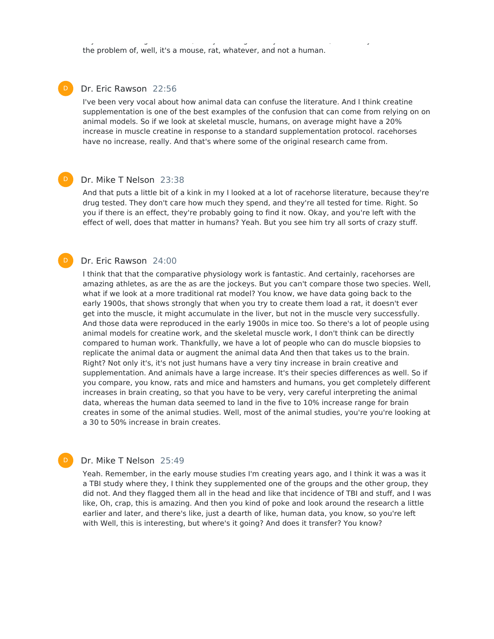the problem of, well, it's a mouse, rat, whatever, and not a human.

### Dr. Eric Rawson 22:56

I've been very vocal about how animal data can confuse the literature. And I think creatine supplementation is one of the best examples of the confusion that can come from relying on on animal models. So if we look at skeletal muscle, humans, on average might have a 20% increase in muscle creatine in response to a standard supplementation protocol. racehorses have no increase, really. And that's where some of the original research came from.

say invasive things to animals, and you can generally do to humans, but then you're left with

#### Dr. Mike T Nelson 23:38  $\mathsf{D}$

And that puts a little bit of a kink in my I looked at a lot of racehorse literature, because they're drug tested. They don't care how much they spend, and they're all tested for time. Right. So you if there is an effect, they're probably going to find it now. Okay, and you're left with the effect of well, does that matter in humans? Yeah. But you see him try all sorts of crazy stuff.

#### Dr. Eric Rawson 24:00

I think that that the comparative physiology work is fantastic. And certainly, racehorses are amazing athletes, as are the as are the jockeys. But you can't compare those two species. Well, what if we look at a more traditional rat model? You know, we have data going back to the early 1900s, that shows strongly that when you try to create them load a rat, it doesn't ever get into the muscle, it might accumulate in the liver, but not in the muscle very successfully. And those data were reproduced in the early 1900s in mice too. So there's a lot of people using animal models for creatine work, and the skeletal muscle work, I don't think can be directly compared to human work. Thankfully, we have a lot of people who can do muscle biopsies to replicate the animal data or augment the animal data And then that takes us to the brain. Right? Not only it's, it's not just humans have a very tiny increase in brain creative and supplementation. And animals have a large increase. It's their species differences as well. So if you compare, you know, rats and mice and hamsters and humans, you get completely different increases in brain creating, so that you have to be very, very careful interpreting the animal data, whereas the human data seemed to land in the five to 10% increase range for brain creates in some of the animal studies. Well, most of the animal studies, you're you're looking at a 30 to 50% increase in brain creates.

#### Dr. Mike T Nelson 25:49

Yeah. Remember, in the early mouse studies I'm creating years ago, and I think it was a was it a TBI study where they, I think they supplemented one of the groups and the other group, they did not. And they flagged them all in the head and like that incidence of TBI and stuff, and I was like, Oh, crap, this is amazing. And then you kind of poke and look around the research a little earlier and later, and there's like, just a dearth of like, human data, you know, so you're left with Well, this is interesting, but where's it going? And does it transfer? You know?

 $\mathsf{D}$ 

D

 $\mathsf{D}$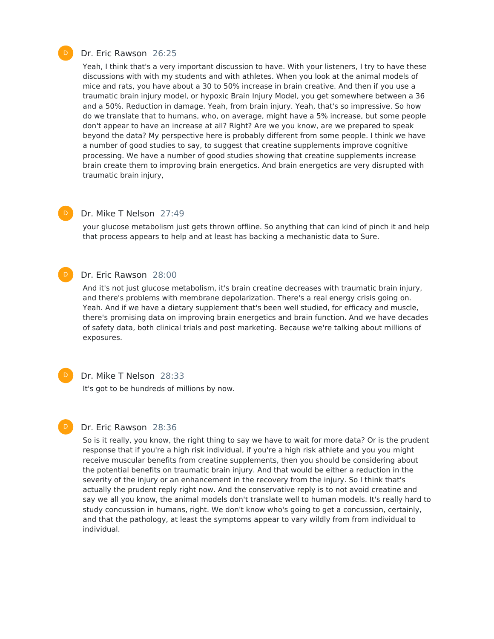

#### Dr. Eric Rawson 26:25

Yeah, I think that's a very important discussion to have. With your listeners, I try to have these discussions with with my students and with athletes. When you look at the animal models of mice and rats, you have about a 30 to 50% increase in brain creative. And then if you use a traumatic brain injury model, or hypoxic Brain Injury Model, you get somewhere between a 36 and a 50%. Reduction in damage. Yeah, from brain injury. Yeah, that's so impressive. So how do we translate that to humans, who, on average, might have a 5% increase, but some people don't appear to have an increase at all? Right? Are we you know, are we prepared to speak beyond the data? My perspective here is probably different from some people. I think we have a number of good studies to say, to suggest that creatine supplements improve cognitive processing. We have a number of good studies showing that creatine supplements increase brain create them to improving brain energetics. And brain energetics are very disrupted with traumatic brain injury,

### $\mathsf{D}$

#### Dr. Mike T Nelson 27:49

your glucose metabolism just gets thrown offline. So anything that can kind of pinch it and help that process appears to help and at least has backing a mechanistic data to Sure.

#### Dr. Eric Rawson 28:00  $\mathsf{D}$

And it's not just glucose metabolism, it's brain creatine decreases with traumatic brain injury, and there's problems with membrane depolarization. There's a real energy crisis going on. Yeah. And if we have a dietary supplement that's been well studied, for efficacy and muscle, there's promising data on improving brain energetics and brain function. And we have decades of safety data, both clinical trials and post marketing. Because we're talking about millions of exposures.

#### Dr. Mike T Nelson 28:33

It's got to be hundreds of millions by now.



 $\mathsf{D}$ 

#### Dr. Eric Rawson 28:36

So is it really, you know, the right thing to say we have to wait for more data? Or is the prudent response that if you're a high risk individual, if you're a high risk athlete and you you might receive muscular benefits from creatine supplements, then you should be considering about the potential benefits on traumatic brain injury. And that would be either a reduction in the severity of the injury or an enhancement in the recovery from the injury. So I think that's actually the prudent reply right now. And the conservative reply is to not avoid creatine and say we all you know, the animal models don't translate well to human models. It's really hard to study concussion in humans, right. We don't know who's going to get a concussion, certainly, and that the pathology, at least the symptoms appear to vary wildly from from individual to individual.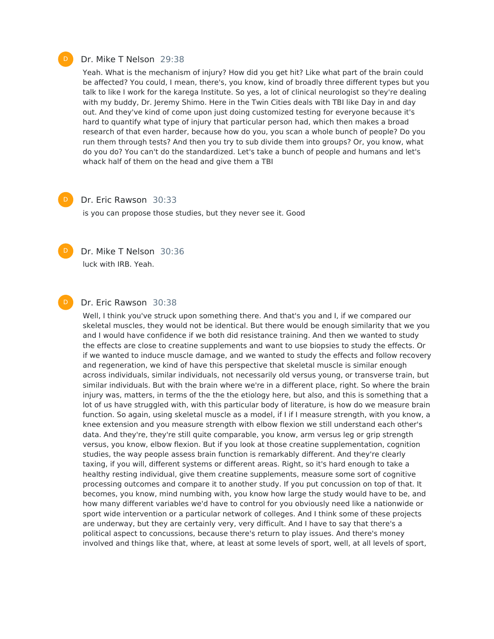#### Dr. Mike T Nelson 29:38

Yeah. What is the mechanism of injury? How did you get hit? Like what part of the brain could be affected? You could, I mean, there's, you know, kind of broadly three different types but you talk to like I work for the karega Institute. So yes, a lot of clinical neurologist so they're dealing with my buddy, Dr. Jeremy Shimo. Here in the Twin Cities deals with TBI like Day in and day out. And they've kind of come upon just doing customized testing for everyone because it's hard to quantify what type of injury that particular person had, which then makes a broad research of that even harder, because how do you, you scan a whole bunch of people? Do you run them through tests? And then you try to sub divide them into groups? Or, you know, what do you do? You can't do the standardized. Let's take a bunch of people and humans and let's whack half of them on the head and give them a TBI

# $\mathsf{D}$

#### Dr. Eric Rawson 30:33

is you can propose those studies, but they never see it. Good



D

Dr. Mike T Nelson 30:36 luck with IRB. Yeah.

#### Dr. Eric Rawson 30:38

Well, I think you've struck upon something there. And that's you and I, if we compared our skeletal muscles, they would not be identical. But there would be enough similarity that we you and I would have confidence if we both did resistance training. And then we wanted to study the effects are close to creatine supplements and want to use biopsies to study the effects. Or if we wanted to induce muscle damage, and we wanted to study the effects and follow recovery and regeneration, we kind of have this perspective that skeletal muscle is similar enough across individuals, similar individuals, not necessarily old versus young, or transverse train, but similar individuals. But with the brain where we're in a different place, right. So where the brain injury was, matters, in terms of the the the etiology here, but also, and this is something that a lot of us have struggled with, with this particular body of literature, is how do we measure brain function. So again, using skeletal muscle as a model, if I if I measure strength, with you know, a knee extension and you measure strength with elbow flexion we still understand each other's data. And they're, they're still quite comparable, you know, arm versus leg or grip strength versus, you know, elbow flexion. But if you look at those creatine supplementation, cognition studies, the way people assess brain function is remarkably different. And they're clearly taxing, if you will, different systems or different areas. Right, so it's hard enough to take a healthy resting individual, give them creatine supplements, measure some sort of cognitive processing outcomes and compare it to another study. If you put concussion on top of that. It becomes, you know, mind numbing with, you know how large the study would have to be, and how many different variables we'd have to control for you obviously need like a nationwide or sport wide intervention or a particular network of colleges. And I think some of these projects are underway, but they are certainly very, very difficult. And I have to say that there's a political aspect to concussions, because there's return to play issues. And there's money involved and things like that, where, at least at some levels of sport, well, at all levels of sport,

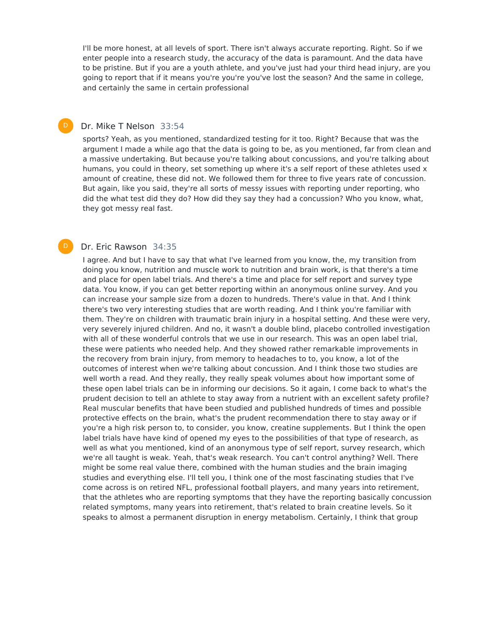I'll be more honest, at all levels of sport. There isn't always accurate reporting. Right. So if we enter people into a research study, the accuracy of the data is paramount. And the data have to be pristine. But if you are a youth athlete, and you've just had your third head injury, are you going to report that if it means you're you're you've lost the season? And the same in college, and certainly the same in certain professional

#### Dr. Mike T Nelson 33:54  $\mathsf{D}$

sports? Yeah, as you mentioned, standardized testing for it too. Right? Because that was the argument I made a while ago that the data is going to be, as you mentioned, far from clean and a massive undertaking. But because you're talking about concussions, and you're talking about humans, you could in theory, set something up where it's a self report of these athletes used x amount of creatine, these did not. We followed them for three to five years rate of concussion. But again, like you said, they're all sorts of messy issues with reporting under reporting, who did the what test did they do? How did they say they had a concussion? Who you know, what, they got messy real fast.

#### Dr. Eric Rawson 34:35

D

I agree. And but I have to say that what I've learned from you know, the, my transition from doing you know, nutrition and muscle work to nutrition and brain work, is that there's a time and place for open label trials. And there's a time and place for self report and survey type data. You know, if you can get better reporting within an anonymous online survey. And you can increase your sample size from a dozen to hundreds. There's value in that. And I think there's two very interesting studies that are worth reading. And I think you're familiar with them. They're on children with traumatic brain injury in a hospital setting. And these were very, very severely injured children. And no, it wasn't a double blind, placebo controlled investigation with all of these wonderful controls that we use in our research. This was an open label trial, these were patients who needed help. And they showed rather remarkable improvements in the recovery from brain injury, from memory to headaches to to, you know, a lot of the outcomes of interest when we're talking about concussion. And I think those two studies are well worth a read. And they really, they really speak volumes about how important some of these open label trials can be in informing our decisions. So it again, I come back to what's the prudent decision to tell an athlete to stay away from a nutrient with an excellent safety profile? Real muscular benefits that have been studied and published hundreds of times and possible protective effects on the brain, what's the prudent recommendation there to stay away or if you're a high risk person to, to consider, you know, creatine supplements. But I think the open label trials have have kind of opened my eyes to the possibilities of that type of research, as well as what you mentioned, kind of an anonymous type of self report, survey research, which we're all taught is weak. Yeah, that's weak research. You can't control anything? Well. There might be some real value there, combined with the human studies and the brain imaging studies and everything else. I'll tell you, I think one of the most fascinating studies that I've come across is on retired NFL, professional football players, and many years into retirement, that the athletes who are reporting symptoms that they have the reporting basically concussion related symptoms, many years into retirement, that's related to brain creatine levels. So it speaks to almost a permanent disruption in energy metabolism. Certainly, I think that group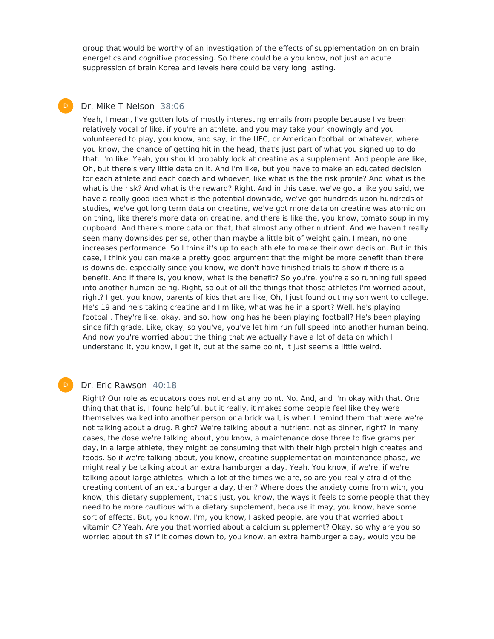group that would be worthy of an investigation of the effects of supplementation on on brain energetics and cognitive processing. So there could be a you know, not just an acute suppression of brain Korea and levels here could be very long lasting.

### Dr. Mike T Nelson 38:06

 $\mathsf{D}$ 

Yeah, I mean, I've gotten lots of mostly interesting emails from people because I've been relatively vocal of like, if you're an athlete, and you may take your knowingly and you volunteered to play, you know, and say, in the UFC, or American football or whatever, where you know, the chance of getting hit in the head, that's just part of what you signed up to do that. I'm like, Yeah, you should probably look at creatine as a supplement. And people are like, Oh, but there's very little data on it. And I'm like, but you have to make an educated decision for each athlete and each coach and whoever, like what is the the risk profile? And what is the what is the risk? And what is the reward? Right. And in this case, we've got a like you said, we have a really good idea what is the potential downside, we've got hundreds upon hundreds of studies, we've got long term data on creatine, we've got more data on creatine was atomic on on thing, like there's more data on creatine, and there is like the, you know, tomato soup in my cupboard. And there's more data on that, that almost any other nutrient. And we haven't really seen many downsides per se, other than maybe a little bit of weight gain. I mean, no one increases performance. So I think it's up to each athlete to make their own decision. But in this case, I think you can make a pretty good argument that the might be more benefit than there is downside, especially since you know, we don't have finished trials to show if there is a benefit. And if there is, you know, what is the benefit? So you're, you're also running full speed into another human being. Right, so out of all the things that those athletes I'm worried about, right? I get, you know, parents of kids that are like, Oh, I just found out my son went to college. He's 19 and he's taking creatine and I'm like, what was he in a sport? Well, he's playing football. They're like, okay, and so, how long has he been playing football? He's been playing since fifth grade. Like, okay, so you've, you've let him run full speed into another human being. And now you're worried about the thing that we actually have a lot of data on which I understand it, you know, I get it, but at the same point, it just seems a little weird.

#### Dr. Eric Rawson 40:18

D

Right? Our role as educators does not end at any point. No. And, and I'm okay with that. One thing that that is, I found helpful, but it really, it makes some people feel like they were themselves walked into another person or a brick wall, is when I remind them that were we're not talking about a drug. Right? We're talking about a nutrient, not as dinner, right? In many cases, the dose we're talking about, you know, a maintenance dose three to five grams per day, in a large athlete, they might be consuming that with their high protein high creates and foods. So if we're talking about, you know, creatine supplementation maintenance phase, we might really be talking about an extra hamburger a day. Yeah. You know, if we're, if we're talking about large athletes, which a lot of the times we are, so are you really afraid of the creating content of an extra burger a day, then? Where does the anxiety come from with, you know, this dietary supplement, that's just, you know, the ways it feels to some people that they need to be more cautious with a dietary supplement, because it may, you know, have some sort of effects. But, you know, I'm, you know, I asked people, are you that worried about vitamin C? Yeah. Are you that worried about a calcium supplement? Okay, so why are you so worried about this? If it comes down to, you know, an extra hamburger a day, would you be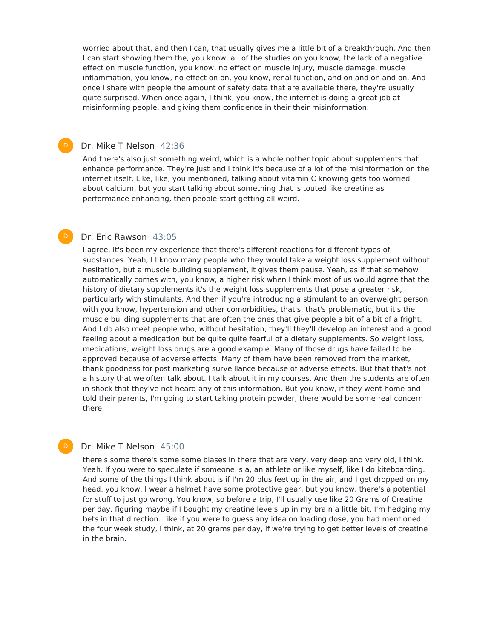worried about that, and then I can, that usually gives me a little bit of a breakthrough. And then I can start showing them the, you know, all of the studies on you know, the lack of a negative effect on muscle function, you know, no effect on muscle injury, muscle damage, muscle inflammation, you know, no effect on on, you know, renal function, and on and on and on. And once I share with people the amount of safety data that are available there, they're usually quite surprised. When once again, I think, you know, the internet is doing a great job at misinforming people, and giving them confidence in their their misinformation.

#### Dr. Mike T Nelson 42:36

 $\mathsf{D}$ 

D

And there's also just something weird, which is a whole nother topic about supplements that enhance performance. They're just and I think it's because of a lot of the misinformation on the internet itself. Like, like, you mentioned, talking about vitamin C knowing gets too worried about calcium, but you start talking about something that is touted like creatine as performance enhancing, then people start getting all weird.

#### Dr. Eric Rawson 43:05  $\mathsf{D}$

I agree. It's been my experience that there's different reactions for different types of substances. Yeah, I I know many people who they would take a weight loss supplement without hesitation, but a muscle building supplement, it gives them pause. Yeah, as if that somehow automatically comes with, you know, a higher risk when I think most of us would agree that the history of dietary supplements it's the weight loss supplements that pose a greater risk, particularly with stimulants. And then if you're introducing a stimulant to an overweight person with you know, hypertension and other comorbidities, that's, that's problematic, but it's the muscle building supplements that are often the ones that give people a bit of a bit of a fright. And I do also meet people who, without hesitation, they'll they'll develop an interest and a good feeling about a medication but be quite quite fearful of a dietary supplements. So weight loss, medications, weight loss drugs are a good example. Many of those drugs have failed to be approved because of adverse effects. Many of them have been removed from the market, thank goodness for post marketing surveillance because of adverse effects. But that that's not a history that we often talk about. I talk about it in my courses. And then the students are often in shock that they've not heard any of this information. But you know, if they went home and told their parents, I'm going to start taking protein powder, there would be some real concern there.

#### Dr. Mike T Nelson 45:00

there's some there's some some biases in there that are very, very deep and very old, I think. Yeah. If you were to speculate if someone is a, an athlete or like myself, like I do kiteboarding. And some of the things I think about is if I'm 20 plus feet up in the air, and I get dropped on my head, you know, I wear a helmet have some protective gear, but you know, there's a potential for stuff to just go wrong. You know, so before a trip, I'll usually use like 20 Grams of Creatine per day, figuring maybe if I bought my creatine levels up in my brain a little bit, I'm hedging my bets in that direction. Like if you were to guess any idea on loading dose, you had mentioned the four week study, I think, at 20 grams per day, if we're trying to get better levels of creatine in the brain.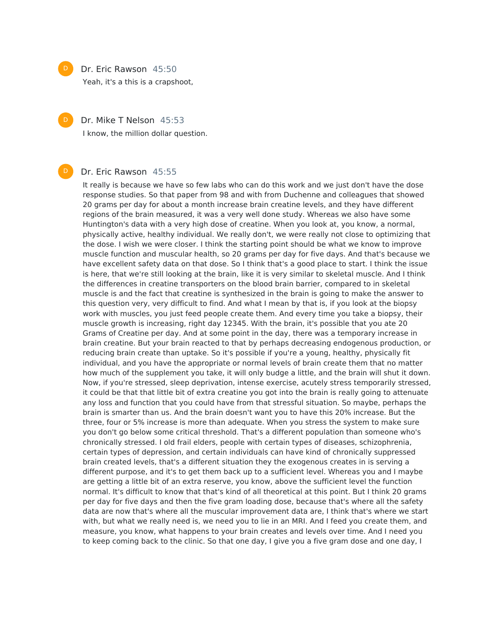$\mathsf{D}$ 

 $\mathsf{D}$ 

D

#### Dr. Eric Rawson 45:50

Yeah, it's a this is a crapshoot,

Dr. Mike T Nelson 45:53

I know, the million dollar question.

#### Dr. Eric Rawson 45:55

It really is because we have so few labs who can do this work and we just don't have the dose response studies. So that paper from 98 and with from Duchenne and colleagues that showed 20 grams per day for about a month increase brain creatine levels, and they have different regions of the brain measured, it was a very well done study. Whereas we also have some Huntington's data with a very high dose of creatine. When you look at, you know, a normal, physically active, healthy individual. We really don't, we were really not close to optimizing that the dose. I wish we were closer. I think the starting point should be what we know to improve muscle function and muscular health, so 20 grams per day for five days. And that's because we have excellent safety data on that dose. So I think that's a good place to start. I think the issue is here, that we're still looking at the brain, like it is very similar to skeletal muscle. And I think the differences in creatine transporters on the blood brain barrier, compared to in skeletal muscle is and the fact that creatine is synthesized in the brain is going to make the answer to this question very, very difficult to find. And what I mean by that is, if you look at the biopsy work with muscles, you just feed people create them. And every time you take a biopsy, their muscle growth is increasing, right day 12345. With the brain, it's possible that you ate 20 Grams of Creatine per day. And at some point in the day, there was a temporary increase in brain creatine. But your brain reacted to that by perhaps decreasing endogenous production, or reducing brain create than uptake. So it's possible if you're a young, healthy, physically fit individual, and you have the appropriate or normal levels of brain create them that no matter how much of the supplement you take, it will only budge a little, and the brain will shut it down. Now, if you're stressed, sleep deprivation, intense exercise, acutely stress temporarily stressed, it could be that that little bit of extra creatine you got into the brain is really going to attenuate any loss and function that you could have from that stressful situation. So maybe, perhaps the brain is smarter than us. And the brain doesn't want you to have this 20% increase. But the three, four or 5% increase is more than adequate. When you stress the system to make sure you don't go below some critical threshold. That's a different population than someone who's chronically stressed. I old frail elders, people with certain types of diseases, schizophrenia, certain types of depression, and certain individuals can have kind of chronically suppressed brain created levels, that's a different situation they the exogenous creates in is serving a different purpose, and it's to get them back up to a sufficient level. Whereas you and I maybe are getting a little bit of an extra reserve, you know, above the sufficient level the function normal. It's difficult to know that that's kind of all theoretical at this point. But I think 20 grams per day for five days and then the five gram loading dose, because that's where all the safety data are now that's where all the muscular improvement data are, I think that's where we start with, but what we really need is, we need you to lie in an MRI. And I feed you create them, and measure, you know, what happens to your brain creates and levels over time. And I need you to keep coming back to the clinic. So that one day, I give you a five gram dose and one day, I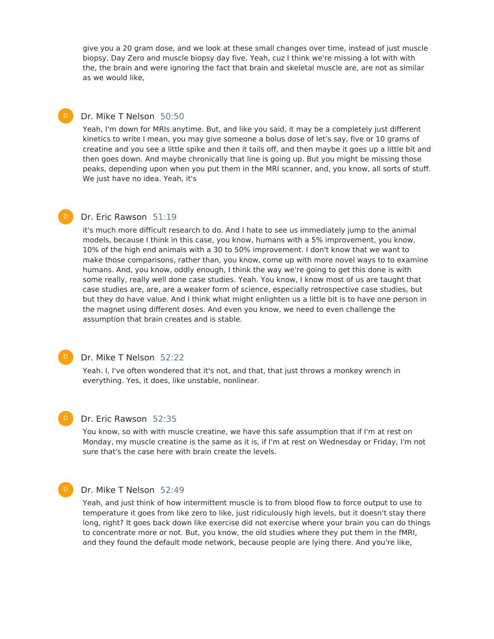give you a 20 gram dose, and we look at these small changes over time, instead of just muscle biopsy, Day Zero and muscle biopsy day five. Yeah, cuz I think we're missing a lot with with the, the brain and were ignoring the fact that brain and skeletal muscle are, are not as similar as we would like,

#### Dr. Mike T Nelson 50:50

 $\mathsf{D}$ 

Yeah, I'm down for MRIs anytime. But, and like you said, it may be a completely just different kinetics to write I mean, you may give someone a bolus dose of let's say, five or 10 grams of creatine and you see a little spike and then it tails off, and then maybe it goes up a little bit and then goes down. And maybe chronically that line is going up. But you might be missing those peaks, depending upon when you put them in the MRI scanner, and, you know, all sorts of stuff. We just have no idea. Yeah, it's

#### Dr. Eric Rawson 51:19  $\mathsf{D}$

it's much more difficult research to do. And I hate to see us immediately jump to the animal models, because I think in this case, you know, humans with a 5% improvement, you know, 10% of the high end animals with a 30 to 50% improvement. I don't know that we want to make those comparisons, rather than, you know, come up with more novel ways to to examine humans. And, you know, oddly enough, I think the way we're going to get this done is with some really, really well done case studies. Yeah. You know, I know most of us are taught that case studies are, are, are a weaker form of science, especially retrospective case studies, but but they do have value. And I think what might enlighten us a little bit is to have one person in the magnet using different doses. And even you know, we need to even challenge the assumption that brain creates and is stable.

#### Dr. Mike T Nelson 52:22

Yeah. I, I've often wondered that it's not, and that, that just throws a monkey wrench in everything. Yes, it does, like unstable, nonlinear.

#### Dr. Eric Rawson 52:35

You know, so with with muscle creatine, we have this safe assumption that if I'm at rest on Monday, my muscle creatine is the same as it is, if I'm at rest on Wednesday or Friday, I'm not sure that's the case here with brain create the levels.

#### D

 $\mathsf{D}$ 

 $\mathsf{D}$ 

#### Dr. Mike T Nelson 52:49

Yeah, and just think of how intermittent muscle is to from blood flow to force output to use to temperature it goes from like zero to like, just ridiculously high levels, but it doesn't stay there long, right? It goes back down like exercise did not exercise where your brain you can do things to concentrate more or not. But, you know, the old studies where they put them in the fMRI, and they found the default mode network, because people are lying there. And you're like,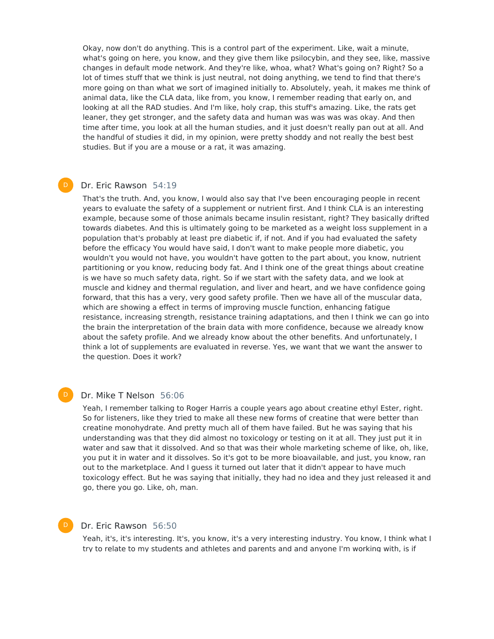Okay, now don't do anything. This is a control part of the experiment. Like, wait a minute, what's going on here, you know, and they give them like psilocybin, and they see, like, massive changes in default mode network. And they're like, whoa, what? What's going on? Right? So a lot of times stuff that we think is just neutral, not doing anything, we tend to find that there's more going on than what we sort of imagined initially to. Absolutely, yeah, it makes me think of animal data, like the CLA data, like from, you know, I remember reading that early on, and looking at all the RAD studies. And I'm like, holy crap, this stuff's amazing. Like, the rats get leaner, they get stronger, and the safety data and human was was was was okay. And then time after time, you look at all the human studies, and it just doesn't really pan out at all. And the handful of studies it did, in my opinion, were pretty shoddy and not really the best best studies. But if you are a mouse or a rat, it was amazing.

### Dr. Eric Rawson 54:19

 $\mathsf{D}$ 

That's the truth. And, you know, I would also say that I've been encouraging people in recent years to evaluate the safety of a supplement or nutrient first. And I think CLA is an interesting example, because some of those animals became insulin resistant, right? They basically drifted towards diabetes. And this is ultimately going to be marketed as a weight loss supplement in a population that's probably at least pre diabetic if, if not. And if you had evaluated the safety before the efficacy You would have said, I don't want to make people more diabetic, you wouldn't you would not have, you wouldn't have gotten to the part about, you know, nutrient partitioning or you know, reducing body fat. And I think one of the great things about creatine is we have so much safety data, right. So if we start with the safety data, and we look at muscle and kidney and thermal regulation, and liver and heart, and we have confidence going forward, that this has a very, very good safety profile. Then we have all of the muscular data, which are showing a effect in terms of improving muscle function, enhancing fatigue resistance, increasing strength, resistance training adaptations, and then I think we can go into the brain the interpretation of the brain data with more confidence, because we already know about the safety profile. And we already know about the other benefits. And unfortunately, I think a lot of supplements are evaluated in reverse. Yes, we want that we want the answer to the question. Does it work?

#### Dr. Mike T Nelson 56:06

Yeah, I remember talking to Roger Harris a couple years ago about creatine ethyl Ester, right. So for listeners, like they tried to make all these new forms of creatine that were better than creatine monohydrate. And pretty much all of them have failed. But he was saying that his understanding was that they did almost no toxicology or testing on it at all. They just put it in water and saw that it dissolved. And so that was their whole marketing scheme of like, oh, like, you put it in water and it dissolves. So it's got to be more bioavailable, and just, you know, ran out to the marketplace. And I guess it turned out later that it didn't appear to have much toxicology effect. But he was saying that initially, they had no idea and they just released it and go, there you go. Like, oh, man.

#### D

 $\mathsf{D}$ 

#### Dr. Eric Rawson 56:50

Yeah, it's, it's interesting. It's, you know, it's a very interesting industry. You know, I think what I try to relate to my students and athletes and parents and and anyone I'm working with, is if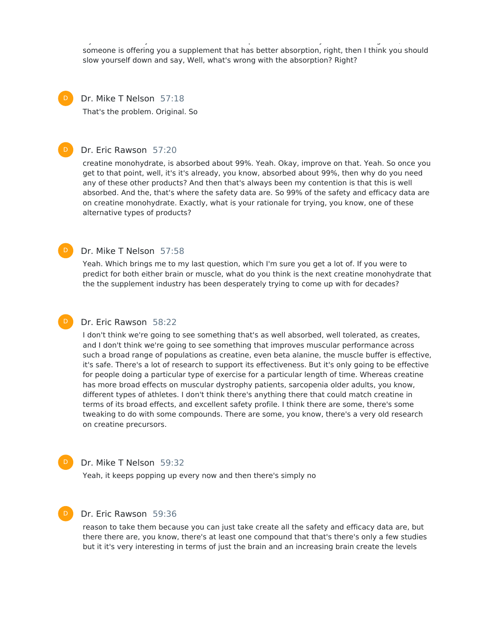try to relate to my students and athletes and parents and and anyone I'm working with, is if someone is offering you a supplement that has better absorption, right, then I think you should slow yourself down and say, Well, what's wrong with the absorption? Right?

Dr. Mike T Nelson 57:18 That's the problem. Original. So  $\mathsf{D}$ 

#### Dr. Eric Rawson 57:20

creatine monohydrate, is absorbed about 99%. Yeah. Okay, improve on that. Yeah. So once you get to that point, well, it's it's already, you know, absorbed about 99%, then why do you need any of these other products? And then that's always been my contention is that this is well absorbed. And the, that's where the safety data are. So 99% of the safety and efficacy data are on creatine monohydrate. Exactly, what is your rationale for trying, you know, one of these alternative types of products?

#### Dr. Mike T Nelson 57:58

Yeah. Which brings me to my last question, which I'm sure you get a lot of. If you were to predict for both either brain or muscle, what do you think is the next creatine monohydrate that the the supplement industry has been desperately trying to come up with for decades?

## $\mathsf{D}$

 $\mathsf{D}$ 

D

 $\mathsf{D}$ 

 $\mathsf{D}$ 

#### Dr. Eric Rawson 58:22

I don't think we're going to see something that's as well absorbed, well tolerated, as creates, and I don't think we're going to see something that improves muscular performance across such a broad range of populations as creatine, even beta alanine, the muscle buffer is effective, it's safe. There's a lot of research to support its effectiveness. But it's only going to be effective for people doing a particular type of exercise for a particular length of time. Whereas creatine has more broad effects on muscular dystrophy patients, sarcopenia older adults, you know, different types of athletes. I don't think there's anything there that could match creatine in terms of its broad effects, and excellent safety profile. I think there are some, there's some tweaking to do with some compounds. There are some, you know, there's a very old research on creatine precursors.

#### Dr. Mike T Nelson 59:32

Yeah, it keeps popping up every now and then there's simply no

### Dr. Eric Rawson 59:36

reason to take them because you can just take create all the safety and efficacy data are, but there there are, you know, there's at least one compound that that's there's only a few studies but it it's very interesting in terms of just the brain and an increasing brain create the levels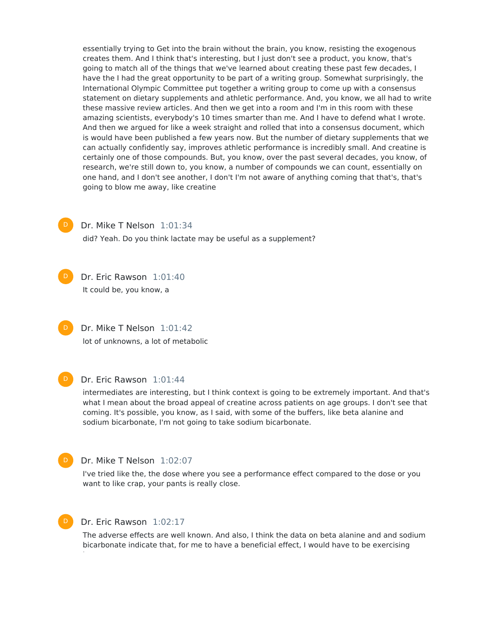essentially trying to Get into the brain without the brain, you know, resisting the exogenous creates them. And I think that's interesting, but I just don't see a product, you know, that's going to match all of the things that we've learned about creating these past few decades, I have the I had the great opportunity to be part of a writing group. Somewhat surprisingly, the International Olympic Committee put together a writing group to come up with a consensus statement on dietary supplements and athletic performance. And, you know, we all had to write these massive review articles. And then we get into a room and I'm in this room with these amazing scientists, everybody's 10 times smarter than me. And I have to defend what I wrote. And then we argued for like a week straight and rolled that into a consensus document, which is would have been published a few years now. But the number of dietary supplements that we can actually confidently say, improves athletic performance is incredibly small. And creatine is certainly one of those compounds. But, you know, over the past several decades, you know, of research, we're still down to, you know, a number of compounds we can count, essentially on one hand, and I don't see another, I don't I'm not aware of anything coming that that's, that's going to blow me away, like creatine



Dr. Mike T Nelson 1:01:34

did? Yeah. Do you think lactate may be useful as a supplement?



Dr. Eric Rawson 1:01:40 It could be, you know, a

Dr. Mike T Nelson 1:01:42 lot of unknowns, a lot of metabolic  $\mathsf{D}$ 



#### Dr. Eric Rawson 1:01:44

intermediates are interesting, but I think context is going to be extremely important. And that's what I mean about the broad appeal of creatine across patients on age groups. I don't see that coming. It's possible, you know, as I said, with some of the buffers, like beta alanine and sodium bicarbonate, I'm not going to take sodium bicarbonate.

 $\mathsf{D}^-$ 

#### Dr. Mike T Nelson 1:02:07

I've tried like the, the dose where you see a performance effect compared to the dose or you want to like crap, your pants is really close.



#### Dr. Eric Rawson 1:02:17

The adverse effects are well known. And also, I think the data on beta alanine and and sodium bicarbonate indicate that, for me to have a beneficial effect, I would have to be exercising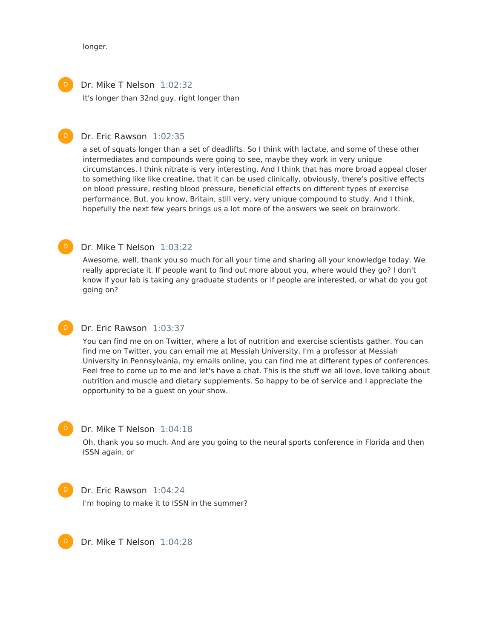longer.

 $\mathsf{D}$ 

 $\mathsf{D}$ 

Dr. Mike T Nelson 1:02:32  $\mathsf{D}$ 

It's longer than 32nd guy, right longer than

### Dr. Eric Rawson 1:02:35

a set of squats longer than a set of deadlifts. So I think with lactate, and some of these other intermediates and compounds were going to see, maybe they work in very unique circumstances. I think nitrate is very interesting. And I think that has more broad appeal closer to something like like creatine, that it can be used clinically, obviously, there's positive effects on blood pressure, resting blood pressure, beneficial effects on different types of exercise performance. But, you know, Britain, still very, very unique compound to study. And I think, hopefully the next few years brings us a lot more of the answers we seek on brainwork.

#### Dr. Mike T Nelson 1:03:22

Awesome, well, thank you so much for all your time and sharing all your knowledge today. We really appreciate it. If people want to find out more about you, where would they go? I don't know if your lab is taking any graduate students or if people are interested, or what do you got going on?

#### Dr. Eric Rawson 1:03:37  $\mathsf{D}$

You can find me on on Twitter, where a lot of nutrition and exercise scientists gather. You can find me on Twitter, you can email me at Messiah University. I'm a professor at Messiah University in Pennsylvania, my emails online, you can find me at different types of conferences. Feel free to come up to me and let's have a chat. This is the stuff we all love, love talking about nutrition and muscle and dietary supplements. So happy to be of service and I appreciate the opportunity to be a guest on your show.

# $\mathsf{D}$

#### Dr. Mike T Nelson 1:04:18

Oh, thank you so much. And are you going to the neural sports conference in Florida and then ISSN again, or



# Dr. Eric Rawson 1:04:24

I'm hoping to make it to ISSN in the summer?



Dr. Mike T Nelson 1:04:28